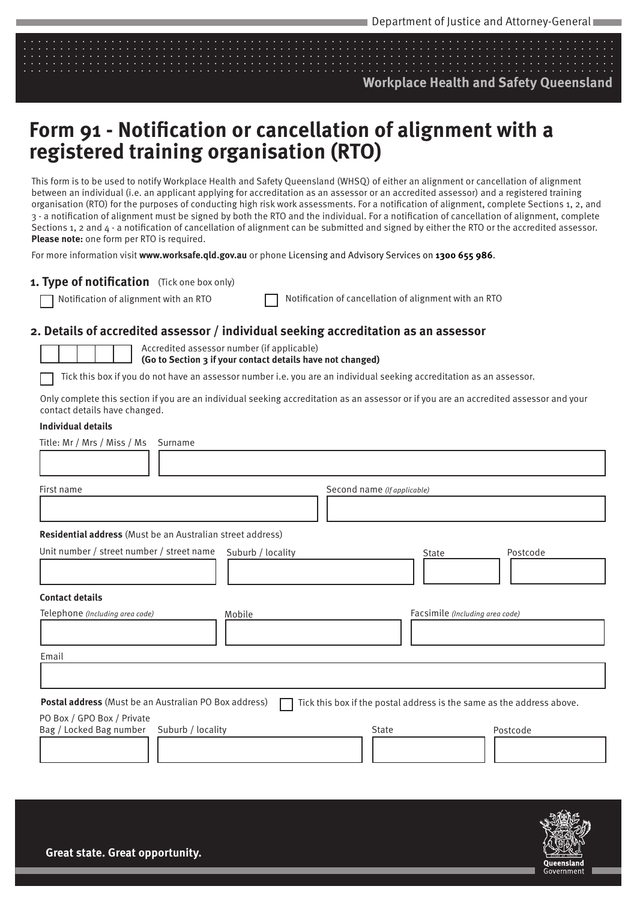### **Workplace Health and Safety Queensland**

# **Form 91 - Notification or cancellation of alignment with a registered training organisation (RTO)**

This form is to be used to notify Workplace Health and Safety Queensland (WHSQ) of either an alignment or cancellation of alignment between an individual (i.e. an applicant applying for accreditation as an assessor or an accredited assessor) and a registered training organisation (RTO) for the purposes of conducting high risk work assessments. For a notification of alignment, complete Sections 1, 2, and 3 - a notification of alignment must be signed by both the RTO and the individual. For a notification of cancellation of alignment, complete Sections 1, 2 and 4 - a notification of cancellation of alignment can be submitted and signed by either the RTO or the accredited assessor. **Please note:** one form per RTO is required.

For more information visit **www.worksafe.qld.gov.au** or phone Licensing and Advisory Services on **1300 655 986**.

### **1. Type of notification**  (Tick one box only)

Notification of alignment with an RTO Notification of cancellation of alignment with an RTO

#### **2. Details of accredited assessor / individual seeking accreditation as an assessor**

Accredited assessor number (if applicable)

**(Go to Section 3 if your contact details have not changed)**

Tick this box if you do not have an assessor number i.e. you are an individual seeking accreditation as an assessor.

Only complete this section if you are an individual seeking accreditation as an assessor or if you are an accredited assessor and your contact details have changed.

#### **Individual details**

| Title: Mr / Mrs / Miss / Ms<br>Surname                                     |                                                                       |
|----------------------------------------------------------------------------|-----------------------------------------------------------------------|
| First name                                                                 | Second name (If applicable)                                           |
| Residential address (Must be an Australian street address)                 |                                                                       |
| Unit number / street number / street name<br>Suburb / locality             | Postcode<br><b>State</b>                                              |
| <b>Contact details</b>                                                     |                                                                       |
| Telephone (Including area code)<br>Mobile                                  | Facsimile (Including area code)                                       |
| Email                                                                      |                                                                       |
|                                                                            |                                                                       |
| Postal address (Must be an Australian PO Box address)                      | Tick this box if the postal address is the same as the address above. |
| PO Box / GPO Box / Private<br>Bag / Locked Bag number<br>Suburb / locality | <b>State</b><br>Postcode                                              |

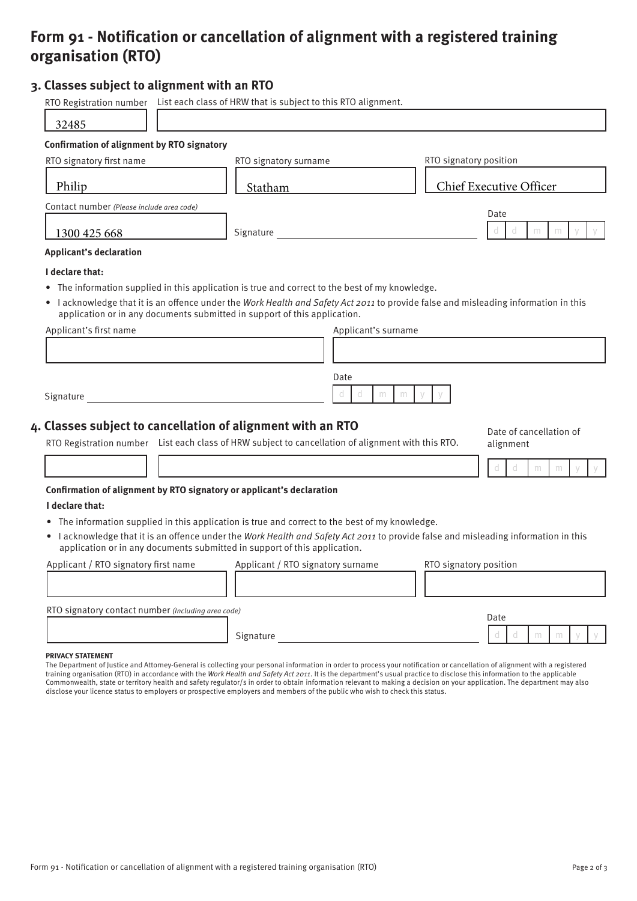## **Form 91 - Notification or cancellation of alignment with a registered training organisation (RTO)**

#### **3. Classes subject to alignment with an RTO**

|                                                    | RTO Registration number List each class of HRW that is subject to this RTO alignment.                                                                                      |                                                                                                                                    |
|----------------------------------------------------|----------------------------------------------------------------------------------------------------------------------------------------------------------------------------|------------------------------------------------------------------------------------------------------------------------------------|
| 32485                                              |                                                                                                                                                                            |                                                                                                                                    |
| <b>Confirmation of alignment by RTO signatory</b>  |                                                                                                                                                                            |                                                                                                                                    |
| RTO signatory first name                           | RTO signatory surname                                                                                                                                                      | RTO signatory position                                                                                                             |
| Philip                                             | Statham                                                                                                                                                                    | Chief Executive Officer                                                                                                            |
| Contact number (Please include area code)          |                                                                                                                                                                            | Date                                                                                                                               |
| 1300 425 668                                       | Signature <u>and the substantial state of</u>                                                                                                                              | $\mathbb{C}$<br>d<br>m<br>m                                                                                                        |
| <b>Applicant's declaration</b>                     |                                                                                                                                                                            |                                                                                                                                    |
| I declare that:                                    |                                                                                                                                                                            |                                                                                                                                    |
|                                                    | The information supplied in this application is true and correct to the best of my knowledge.<br>application or in any documents submitted in support of this application. | • lacknowledge that it is an offence under the Work Health and Safety Act 2011 to provide false and misleading information in this |
| Applicant's first name                             | Applicant's surname                                                                                                                                                        |                                                                                                                                    |
|                                                    |                                                                                                                                                                            |                                                                                                                                    |
|                                                    | Date<br>$\mathbb{C}$<br>d<br>m                                                                                                                                             |                                                                                                                                    |
|                                                    |                                                                                                                                                                            | m                                                                                                                                  |
|                                                    | 4. Classes subject to cancellation of alignment with an RTO<br>RTO Registration number List each class of HRW subject to cancellation of alignment with this RTO.          | Date of cancellation of<br>alignment                                                                                               |
|                                                    |                                                                                                                                                                            | d<br>d<br>m<br>m                                                                                                                   |
|                                                    | Confirmation of alignment by RTO signatory or applicant's declaration                                                                                                      |                                                                                                                                    |
|                                                    |                                                                                                                                                                            |                                                                                                                                    |
| I declare that:                                    | • The information supplied in this application is true and correct to the best of my knowledge.                                                                            |                                                                                                                                    |
|                                                    | application or in any documents submitted in support of this application.                                                                                                  | • lacknowledge that it is an offence under the Work Health and Safety Act 2011 to provide false and misleading information in this |
| Applicant / RTO signatory first name               | Applicant / RTO signatory surname                                                                                                                                          | RTO signatory position                                                                                                             |
|                                                    |                                                                                                                                                                            |                                                                                                                                    |
| RTO signatory contact number (Including area code) |                                                                                                                                                                            | Date                                                                                                                               |

#### **PRIVACY STATEMENT**

The Department of Justice and Attorney-General is collecting your personal information in order to process your notification or cancellation of alignment with a registered training organisation (RTO) in accordance with the Work Health and Safety Act 2011. It is the department's usual practice to disclose this information to the applicable Commonwealth, state or territory health and safety regulator/s in order to obtain information relevant to making a decision on your application. The department may also disclose your licence status to employers or prospective employers and members of the public who wish to check this status.